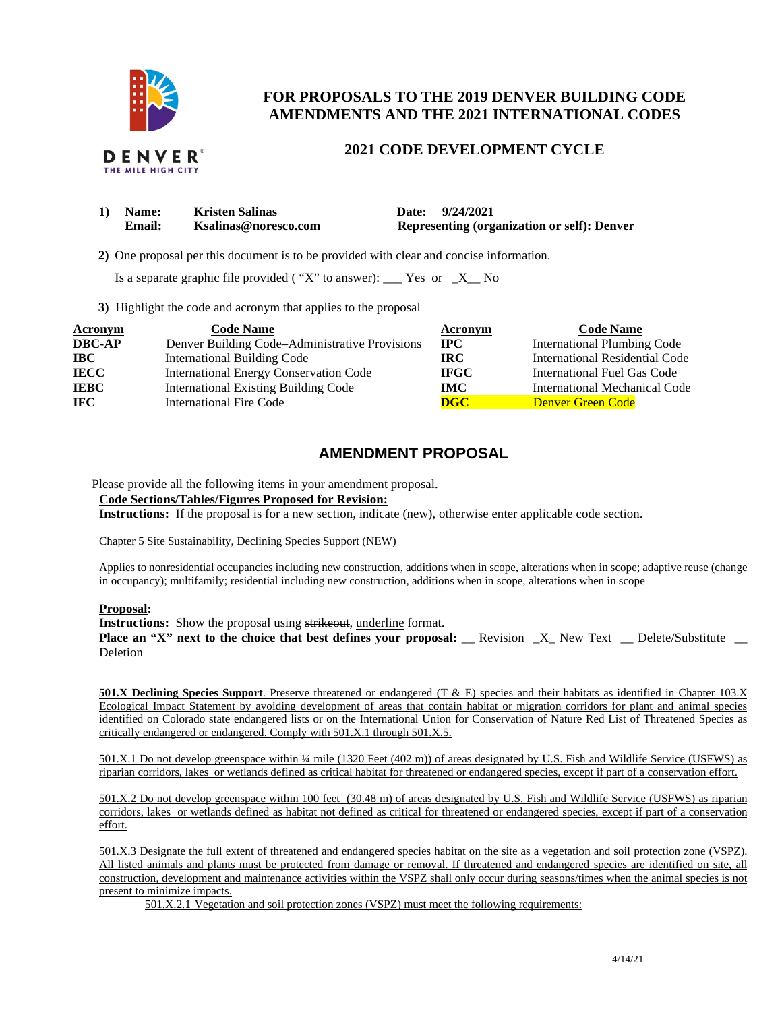

## **FOR PROPOSALS TO THE 2019 DENVER BUILDING CODE AMENDMENTS AND THE 2021 INTERNATIONAL CODES**

## **2021 CODE DEVELOPMENT CYCLE**

| 1) Name:      | <b>Kristen Salinas</b> | Date: 9/24/2021                                    |
|---------------|------------------------|----------------------------------------------------|
| <b>Email:</b> | Ksalinas@noresco.com   | <b>Representing (organization or self): Denver</b> |

 **2)** One proposal per this document is to be provided with clear and concise information.

Is a separate graphic file provided ( "X" to answer):  $\frac{1}{1}$  Yes or  $\frac{1}{1}$  No

**3)** Highlight the code and acronym that applies to the proposal

| Acronym       | <b>Code Name</b>                               | Acronym     | <b>Code Name</b>                   |
|---------------|------------------------------------------------|-------------|------------------------------------|
| <b>DBC-AP</b> | Denver Building Code–Administrative Provisions | $\bf{IPC}$  | <b>International Plumbing Code</b> |
| <b>IBC</b>    | <b>International Building Code</b>             | IRC-        | International Residential Code     |
| <b>IECC</b>   | <b>International Energy Conservation Code</b>  | <b>IFGC</b> | International Fuel Gas Code        |
| <b>IEBC</b>   | <b>International Existing Building Code</b>    | <b>IMC</b>  | International Mechanical Code      |
| IFC.          | <b>International Fire Code</b>                 | <b>DGC</b>  | <b>Denver Green Code</b>           |

## **AMENDMENT PROPOSAL**

Please provide all the following items in your amendment proposal.

**Code Sections/Tables/Figures Proposed for Revision:** 

**Instructions:** If the proposal is for a new section, indicate (new), otherwise enter applicable code section.

Chapter 5 Site Sustainability, Declining Species Support (NEW)

Applies to nonresidential occupancies including new construction, additions when in scope, alterations when in scope; adaptive reuse (change in occupancy); multifamily; residential including new construction, additions when in scope, alterations when in scope

**Proposal:** 

**Instructions:** Show the proposal using strikeout, underline format.

**Place an "X" next to the choice that best defines your proposal:** \_ Revision \_X\_ New Text \_ Delete/Substitute \_ Deletion

**501.X Declining Species Support**. Preserve threatened or endangered (T & E) species and their habitats as identified in Chapter 103.X Ecological Impact Statement by avoiding development of areas that contain habitat or migration corridors for plant and animal species identified on Colorado state endangered lists or on the International Union for Conservation of Nature Red List of Threatened Species as critically endangered or endangered. Comply with 501.X.1 through 501.X.5.

501.X.1 Do not develop greenspace within ¼ mile (1320 Feet (402 m)) of areas designated by U.S. Fish and Wildlife Service (USFWS) as riparian corridors, lakes or wetlands defined as critical habitat for threatened or endangered species, except if part of a conservation effort.

501.X.2 Do not develop greenspace within 100 feet (30.48 m) of areas designated by U.S. Fish and Wildlife Service (USFWS) as riparian corridors, lakes or wetlands defined as habitat not defined as critical for threatened or endangered species, except if part of a conservation effort.

501.X.3 Designate the full extent of threatened and endangered species habitat on the site as a vegetation and soil protection zone (VSPZ). All listed animals and plants must be protected from damage or removal. If threatened and endangered species are identified on site, all construction, development and maintenance activities within the VSPZ shall only occur during seasons/times when the animal species is not present to minimize impacts.

501.X.2.1 Vegetation and soil protection zones (VSPZ) must meet the following requirements: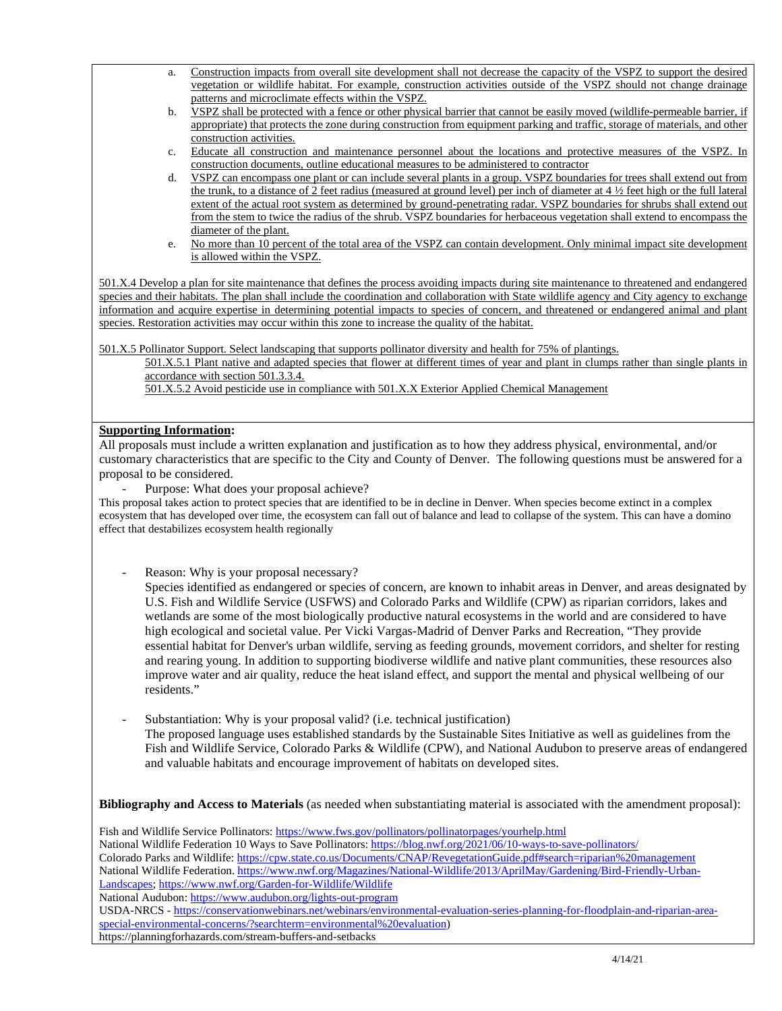- a. Construction impacts from overall site development shall not decrease the capacity of the VSPZ to support the desired vegetation or wildlife habitat. For example, construction activities outside of the VSPZ should not change drainage patterns and microclimate effects within the VSPZ.
- b. VSPZ shall be protected with a fence or other physical barrier that cannot be easily moved (wildlife-permeable barrier, if appropriate) that protects the zone during construction from equipment parking and traffic, storage of materials, and other construction activities.
- c. Educate all construction and maintenance personnel about the locations and protective measures of the VSPZ. In construction documents, outline educational measures to be administered to contractor
- d. <u>VSPZ can encompass one plant or can include several plants in a group. VSPZ boundaries for trees shall extend out from</u> the trunk, to a distance of 2 feet radius (measured at ground level) per inch of diameter at 4 ½ feet high or the full lateral extent of the actual root system as determined by ground-penetrating radar. VSPZ boundaries for shrubs shall extend out from the stem to twice the radius of the shrub. VSPZ boundaries for herbaceous vegetation shall extend to encompass the diameter of the plant.
- e. No more than 10 percent of the total area of the VSPZ can contain development. Only minimal impact site development is allowed within the VSPZ.

501.X.4 Develop a plan for site maintenance that defines the process avoiding impacts during site maintenance to threatened and endangered species and their habitats. The plan shall include the coordination and collaboration with State wildlife agency and City agency to exchange information and acquire expertise in determining potential impacts to species of concern, and threatened or endangered animal and plant species. Restoration activities may occur within this zone to increase the quality of the habitat.

501.X.5 Pollinator Support. Select landscaping that supports pollinator diversity and health for 75% of plantings.

501.X.5.1 Plant native and adapted species that flower at different times of year and plant in clumps rather than single plants in accordance with section 501.3.3.4.

501.X.5.2 Avoid pesticide use in compliance with 501.X.X Exterior Applied Chemical Management

## **Supporting Information:**

All proposals must include a written explanation and justification as to how they address physical, environmental, and/or customary characteristics that are specific to the City and County of Denver. The following questions must be answered for a proposal to be considered.

Purpose: What does your proposal achieve?

This proposal takes action to protect species that are identified to be in decline in Denver. When species become extinct in a complex ecosystem that has developed over time, the ecosystem can fall out of balance and lead to collapse of the system. This can have a domino effect that destabilizes ecosystem health regionally

Reason: Why is your proposal necessary?

Species identified as endangered or species of concern, are known to inhabit areas in Denver, and areas designated by U.S. Fish and Wildlife Service (USFWS) and Colorado Parks and Wildlife (CPW) as riparian corridors, lakes and wetlands are some of the most biologically productive natural ecosystems in the world and are considered to have high ecological and societal value. Per Vicki Vargas-Madrid of Denver Parks and Recreation, "They provide essential habitat for Denver's urban wildlife, serving as feeding grounds, movement corridors, and shelter for resting and rearing young. In addition to supporting biodiverse wildlife and native plant communities, these resources also improve water and air quality, reduce the heat island effect, and support the mental and physical wellbeing of our residents."

Substantiation: Why is your proposal valid? (i.e. technical justification) The proposed language uses established standards by the Sustainable Sites Initiative as well as guidelines from the Fish and Wildlife Service, Colorado Parks & Wildlife (CPW), and National Audubon to preserve areas of endangered and valuable habitats and encourage improvement of habitats on developed sites.

**Bibliography and Access to Materials** (as needed when substantiating material is associated with the amendment proposal):

Fish and Wildlife Service Pollinators:<https://www.fws.gov/pollinators/pollinatorpages/yourhelp.html> National Wildlife Federation 10 Ways to Save Pollinators[: https://blog.nwf.org/2021/06/10-ways-to-save-pollinators/](https://blog.nwf.org/2021/06/10-ways-to-save-pollinators/)  Colorado Parks and Wildlife[: https://cpw.state.co.us/Documents/CNAP/RevegetationGuide.pdf#search=riparian%20management](https://cpw.state.co.us/Documents/CNAP/RevegetationGuide.pdf#search=riparian%20management) National Wildlife Federation. [https://www.nwf.org/Magazines/National-Wildlife/2013/AprilMay/Gardening/Bird-Friendly-Urban-](https://www.nwf.org/Magazines/National-Wildlife/2013/AprilMay/Gardening/Bird-Friendly-Urban-Landscapes)[Landscapes;](https://www.nwf.org/Magazines/National-Wildlife/2013/AprilMay/Gardening/Bird-Friendly-Urban-Landscapes)<https://www.nwf.org/Garden-for-Wildlife/Wildlife> National Audubon:<https://www.audubon.org/lights-out-program>

USDA-NRCS - [https://conservationwebinars.net/webinars/environmental-evaluation-series-planning-for-floodplain-and-riparian-area](https://conservationwebinars.net/webinars/environmental-evaluation-series-planning-for-floodplain-and-riparian-area-special-environmental-concerns/?searchterm=environmental%20evaluation)[special-environmental-concerns/?searchterm=environmental%20evaluation\)](https://conservationwebinars.net/webinars/environmental-evaluation-series-planning-for-floodplain-and-riparian-area-special-environmental-concerns/?searchterm=environmental%20evaluation)

https://planningforhazards.com/stream-buffers-and-setbacks